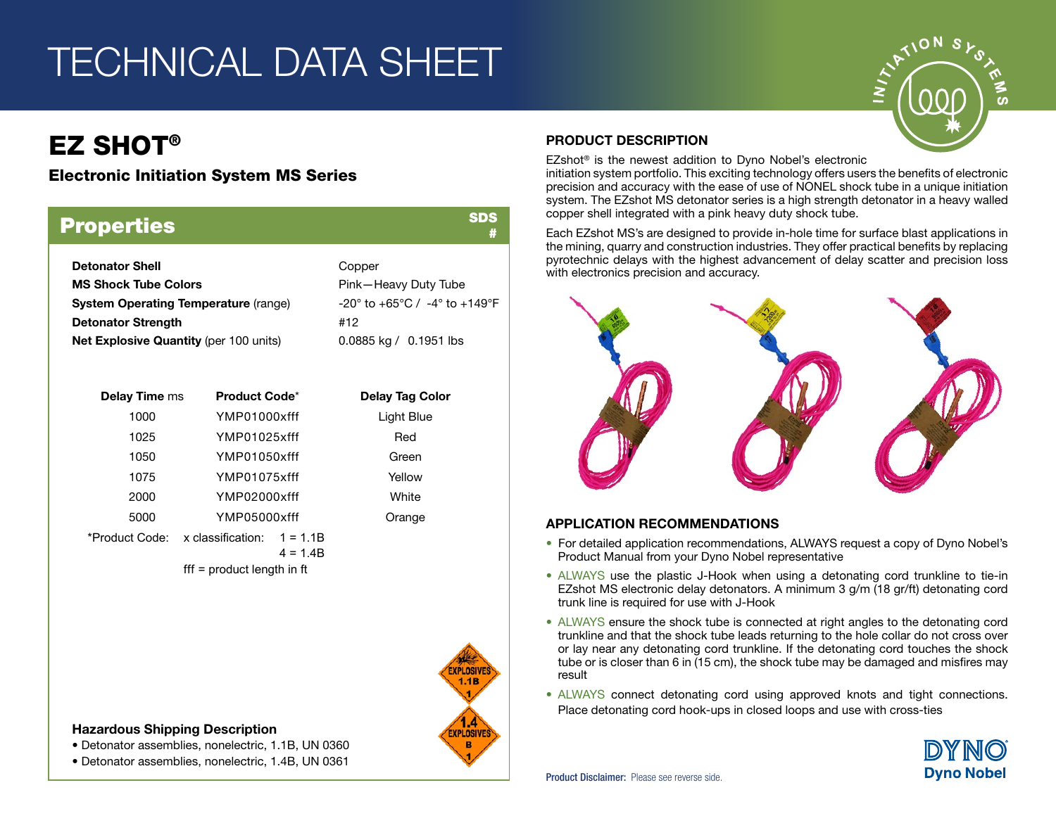# TECHNICAL DATA SHEET

# EZ SHOT®

### Electronic Initiation System MS Series

| <b>Properties</b>                           |                                                                     | <b>SDS</b>                 |  |  |
|---------------------------------------------|---------------------------------------------------------------------|----------------------------|--|--|
| <b>Detonator Shell</b>                      |                                                                     | Copper                     |  |  |
| <b>MS Shock Tube Colors</b>                 |                                                                     | Pink-Heavy Duty Tube       |  |  |
| <b>System Operating Temperature (range)</b> | $-20^{\circ}$ to $+65^{\circ}$ C / $-4^{\circ}$ to $+149^{\circ}$ F |                            |  |  |
| <b>Detonator Strength</b>                   |                                                                     | #12                        |  |  |
| Net Explosive Quantity (per 100 units)      |                                                                     | $0.0885$ kg $/$ 0.1951 lbs |  |  |
| Delay Time ms                               | <b>Product Code*</b>                                                | <b>Delay Tag Color</b>     |  |  |
| 1000                                        | YMP01000xfff                                                        | Light Blue                 |  |  |
| 1025                                        | YMP01025xfff                                                        | Red                        |  |  |
| 1050                                        | YMP01050xfff                                                        | Green                      |  |  |
| 1075                                        | YMP01075xfff                                                        | Yellow                     |  |  |
| 2000                                        | YMP02000xfff                                                        | White                      |  |  |
| 5000                                        | YMP05000xfff                                                        | Orange                     |  |  |
| *Product Code:                              | x classification: $1 = 1.1B$<br>$4 = 1.4B$                          |                            |  |  |
|                                             | $\mathsf{ff}$ = product length in ft                                |                            |  |  |
|                                             |                                                                     |                            |  |  |
|                                             |                                                                     |                            |  |  |



### Hazardous Shipping Description

• Detonator assemblies, nonelectric, 1.1B, UN 0360

• Detonator assemblies, nonelectric, 1.4B, UN 0361

### PRODUCT DESCRIPTION

EZshot® is the newest addition to Dyno Nobel's electronic

initiation system portfolio. This exciting technology offers users the benefits of electronic precision and accuracy with the ease of use of NONEL shock tube in a unique initiation system. The EZshot MS detonator series is a high strength detonator in a heavy walled copper shell integrated with a pink heavy duty shock tube.

Each EZshot MS's are designed to provide in-hole time for surface blast applications in the mining, quarry and construction industries. They offer practical benefits by replacing pyrotechnic delays with the highest advancement of delay scatter and precision loss with electronics precision and accuracy.



#### APPLICATION RECOMMENDATIONS

- For detailed application recommendations, ALWAYS request a copy of Dyno Nobel's Product Manual from your Dyno Nobel representative
- ALWAYS use the plastic J-Hook when using a detonating cord trunkline to tie-in EZshot MS electronic delay detonators. A minimum 3 g/m (18 gr/ft) detonating cord trunk line is required for use with J-Hook
- ALWAYS ensure the shock tube is connected at right angles to the detonating cord trunkline and that the shock tube leads returning to the hole collar do not cross over or lay near any detonating cord trunkline. If the detonating cord touches the shock tube or is closer than 6 in (15 cm), the shock tube may be damaged and misfires may result
- ALWAYS connect detonating cord using approved knots and tight connections. Place detonating cord hook-ups in closed loops and use with cross-ties